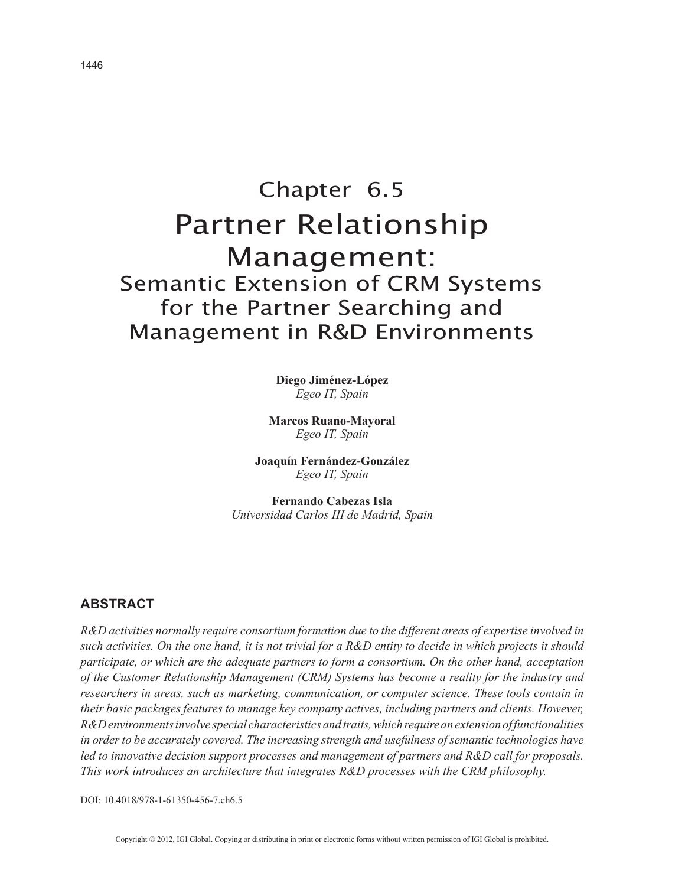# Chapter 6.5 Partner Relationship Management: Semantic Extension of CRM Systems for the Partner Searching and Management in R&D Environments

**Diego Jiménez-López** *Egeo IT, Spain*

**Marcos Ruano-Mayoral** *Egeo IT, Spain*

**Joaquín Fernández-González** *Egeo IT, Spain*

**Fernando Cabezas Isla** *Universidad Carlos III de Madrid, Spain*

## **ABSTRACT**

*R&D activities normally require consortium formation due to the different areas of expertise involved in such activities. On the one hand, it is not trivial for a R&D entity to decide in which projects it should participate, or which are the adequate partners to form a consortium. On the other hand, acceptation of the Customer Relationship Management (CRM) Systems has become a reality for the industry and researchers in areas, such as marketing, communication, or computer science. These tools contain in their basic packages features to manage key company actives, including partners and clients. However, R&D environments involve special characteristics and traits, which require an extension of functionalities in order to be accurately covered. The increasing strength and usefulness of semantic technologies have led to innovative decision support processes and management of partners and R&D call for proposals. This work introduces an architecture that integrates R&D processes with the CRM philosophy.*

DOI: 10.4018/978-1-61350-456-7.ch6.5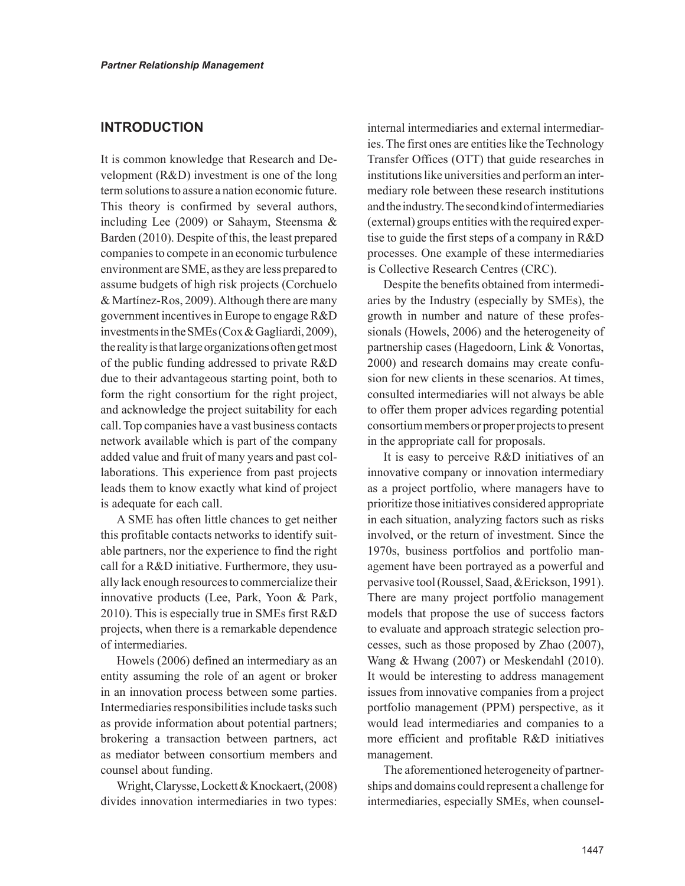# **INTRODUCTION**

It is common knowledge that Research and Development (R&D) investment is one of the long term solutions to assure a nation economic future. This theory is confirmed by several authors, including Lee (2009) or Sahaym, Steensma & Barden (2010). Despite of this, the least prepared companies to compete in an economic turbulence environment are SME, as they are less prepared to assume budgets of high risk projects (Corchuelo & Martínez-Ros, 2009). Although there are many government incentives in Europe to engage R&D investments in the SMEs (Cox & Gagliardi, 2009), the reality is that large organizations often get most of the public funding addressed to private R&D due to their advantageous starting point, both to form the right consortium for the right project, and acknowledge the project suitability for each call. Top companies have a vast business contacts network available which is part of the company added value and fruit of many years and past collaborations. This experience from past projects leads them to know exactly what kind of project is adequate for each call.

A SME has often little chances to get neither this profitable contacts networks to identify suitable partners, nor the experience to find the right call for a R&D initiative. Furthermore, they usually lack enough resources to commercialize their innovative products (Lee, Park, Yoon & Park, 2010). This is especially true in SMEs first R&D projects, when there is a remarkable dependence of intermediaries.

Howels (2006) defined an intermediary as an entity assuming the role of an agent or broker in an innovation process between some parties. Intermediaries responsibilities include tasks such as provide information about potential partners; brokering a transaction between partners, act as mediator between consortium members and counsel about funding.

Wright, Clarysse, Lockett & Knockaert, (2008) divides innovation intermediaries in two types: internal intermediaries and external intermediaries. The first ones are entities like the Technology Transfer Offices (OTT) that guide researches in institutions like universities and perform an intermediary role between these research institutions and the industry. The second kind of intermediaries (external) groups entities with the required expertise to guide the first steps of a company in R&D processes. One example of these intermediaries is Collective Research Centres (CRC).

Despite the benefits obtained from intermediaries by the Industry (especially by SMEs), the growth in number and nature of these professionals (Howels, 2006) and the heterogeneity of partnership cases (Hagedoorn, Link & Vonortas, 2000) and research domains may create confusion for new clients in these scenarios. At times, consulted intermediaries will not always be able to offer them proper advices regarding potential consortium members or proper projects to present in the appropriate call for proposals.

It is easy to perceive R&D initiatives of an innovative company or innovation intermediary as a project portfolio, where managers have to prioritize those initiatives considered appropriate in each situation, analyzing factors such as risks involved, or the return of investment. Since the 1970s, business portfolios and portfolio management have been portrayed as a powerful and pervasive tool (Roussel, Saad, &Erickson, 1991). There are many project portfolio management models that propose the use of success factors to evaluate and approach strategic selection processes, such as those proposed by Zhao (2007), Wang & Hwang (2007) or Meskendahl (2010). It would be interesting to address management issues from innovative companies from a project portfolio management (PPM) perspective, as it would lead intermediaries and companies to a more efficient and profitable R&D initiatives management.

The aforementioned heterogeneity of partnerships and domains could represent a challenge for intermediaries, especially SMEs, when counsel